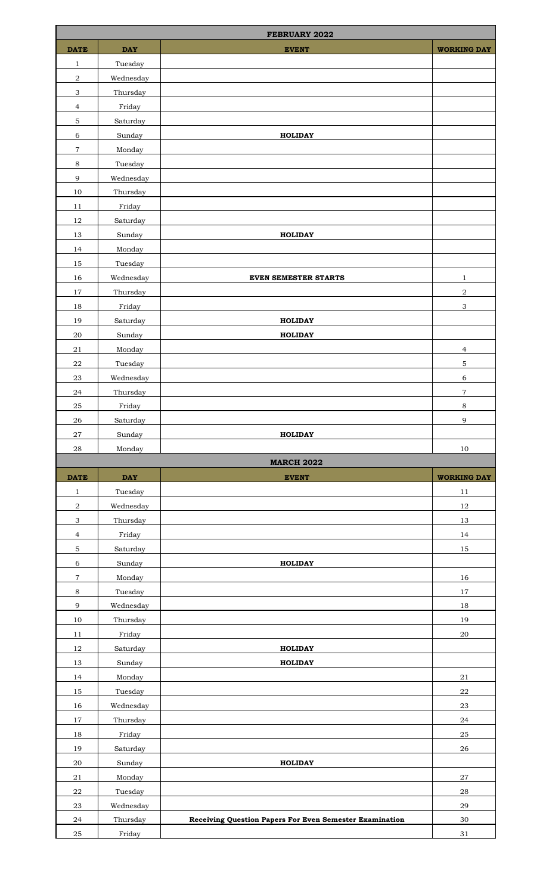|                           | <b>FEBRUARY 2022</b> |                                                                |                           |  |  |
|---------------------------|----------------------|----------------------------------------------------------------|---------------------------|--|--|
| <b>DATE</b>               | <b>DAY</b>           | <b>EVENT</b>                                                   | <b>WORKING DAY</b>        |  |  |
| 1                         | Tuesday              |                                                                |                           |  |  |
| $\sqrt{2}$                | Wednesday            |                                                                |                           |  |  |
| $\ensuremath{\mathsf{3}}$ | Thursday             |                                                                |                           |  |  |
| $\overline{4}$            | Friday               |                                                                |                           |  |  |
| $\mathbf 5$               | Saturday             |                                                                |                           |  |  |
| $\,$ 6 $\,$               | Sunday               | <b>HOLIDAY</b>                                                 |                           |  |  |
| 7                         | Monday               |                                                                |                           |  |  |
| 8                         | Tuesday              |                                                                |                           |  |  |
| $\mathsf 9$               | Wednesday            |                                                                |                           |  |  |
| 10                        | Thursday             |                                                                |                           |  |  |
| 11                        | Friday               |                                                                |                           |  |  |
| 12                        | Saturday             |                                                                |                           |  |  |
| 13                        | Sunday               | <b>HOLIDAY</b>                                                 |                           |  |  |
| 14                        | Monday               |                                                                |                           |  |  |
| 15                        | Tuesday              |                                                                |                           |  |  |
| 16                        | Wednesday            | <b>EVEN SEMESTER STARTS</b>                                    | $\mathbf{1}$              |  |  |
| 17                        | Thursday             |                                                                | $\boldsymbol{2}$          |  |  |
| 18                        | Friday               |                                                                | $\ensuremath{\mathsf{3}}$ |  |  |
| 19                        | Saturday             | <b>HOLIDAY</b>                                                 |                           |  |  |
| 20                        | Sunday               | <b>HOLIDAY</b>                                                 |                           |  |  |
| 21                        | Monday               |                                                                | $\overline{4}$            |  |  |
| ${\bf 22}$                | Tuesday              |                                                                | $\mathbf 5$               |  |  |
| 23                        | Wednesday            |                                                                | 6                         |  |  |
| ${\bf 24}$                | Thursday             |                                                                | $\,7$                     |  |  |
| 25                        | Friday               |                                                                | $\,8\,$                   |  |  |
| 26                        | Saturday             |                                                                | $\overline{9}$            |  |  |
|                           |                      |                                                                |                           |  |  |
|                           |                      |                                                                |                           |  |  |
| $\sqrt{27}$               | Sunday               | <b>HOLIDAY</b>                                                 |                           |  |  |
| $\bf 28$                  | Monday               |                                                                | $10\,$                    |  |  |
|                           |                      | <b>MARCH 2022</b>                                              |                           |  |  |
| <b>DATE</b>               | $\mathbf{DAY}$       | <b>EVENT</b>                                                   | <b>WORKING DAY</b>        |  |  |
| $\mathbf{1}$              | Tuesday              |                                                                | 11                        |  |  |
| $\,2$                     | Wednesday            |                                                                | $12\,$                    |  |  |
| $\ensuremath{\mathsf{3}}$ | Thursday             |                                                                | 13                        |  |  |
| $\overline{4}$            | Friday               |                                                                | 14                        |  |  |
| $\mathbf 5$               | Saturday             |                                                                | 15                        |  |  |
| $\,$ 6 $\,$               | Sunday               | <b>HOLIDAY</b>                                                 |                           |  |  |
| $\,7$                     | Monday               |                                                                | 16                        |  |  |
| 8                         | Tuesday              |                                                                | $17\,$                    |  |  |
| 9                         | Wednesday            |                                                                | $18\,$                    |  |  |
| 10                        | Thursday             |                                                                | 19                        |  |  |
| 11                        | Friday               |                                                                | $20\,$                    |  |  |
| $12\,$                    | Saturday             | <b>HOLIDAY</b>                                                 |                           |  |  |
| 13                        | Sunday               | <b>HOLIDAY</b>                                                 |                           |  |  |
| 14                        | Monday               |                                                                | 21                        |  |  |
| $15\,$                    | Tuesday              |                                                                | $22\,$                    |  |  |
| 16                        | Wednesday            |                                                                | $23\,$                    |  |  |
| 17                        | Thursday             |                                                                | 24                        |  |  |
| $18\,$                    | Friday               |                                                                | $25\,$                    |  |  |
| 19                        | Saturday             |                                                                | 26                        |  |  |
| $20\,$                    | Sunday               | <b>HOLIDAY</b>                                                 |                           |  |  |
| 21                        | Monday               |                                                                | $\sqrt{27}$               |  |  |
| ${\bf 22}$                | Tuesday              |                                                                | ${\bf 28}$                |  |  |
| $23\,$                    | Wednesday            |                                                                | 29                        |  |  |
| 24<br>25                  | Thursday<br>Friday   | <b>Receiving Question Papers For Even Semester Examination</b> | $30\,$<br>31              |  |  |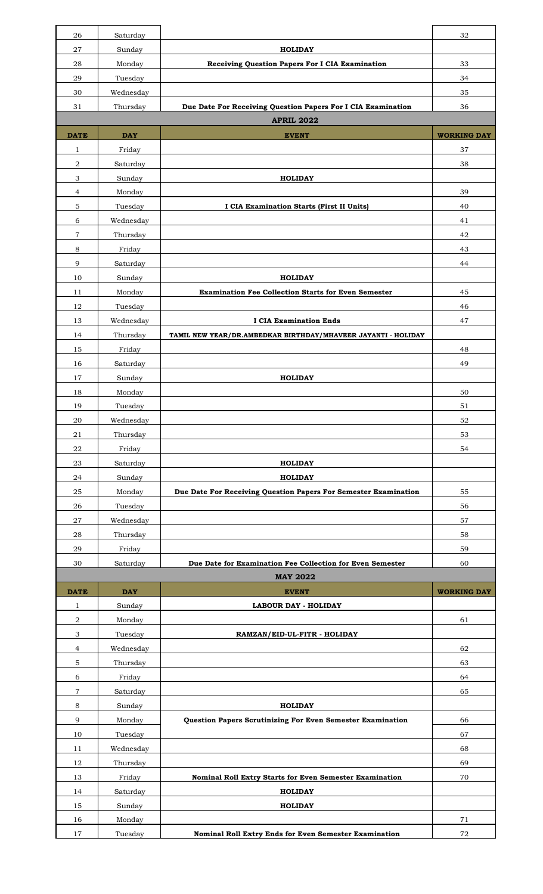| 26             | Saturday   |                                                                 | 32                 |
|----------------|------------|-----------------------------------------------------------------|--------------------|
| 27             | Sunday     | <b>HOLIDAY</b>                                                  |                    |
| 28             | Monday     | Receiving Question Papers For I CIA Examination                 | 33                 |
| 29             | Tuesday    |                                                                 | 34                 |
| 30             | Wednesday  |                                                                 | 35                 |
| 31             | Thursday   | Due Date For Receiving Question Papers For I CIA Examination    | 36                 |
|                |            | <b>APRIL 2022</b>                                               |                    |
| <b>DATE</b>    | <b>DAY</b> | <b>EVENT</b>                                                    | <b>WORKING DAY</b> |
| 1              | Friday     |                                                                 | 37                 |
| $\sqrt{2}$     | Saturday   |                                                                 | 38                 |
| 3              | Sunday     | <b>HOLIDAY</b>                                                  |                    |
| 4              | Monday     |                                                                 | 39                 |
| $\mathbf 5$    | Tuesday    | I CIA Examination Starts (First II Units)                       | 40                 |
| 6              | Wednesday  |                                                                 | 41                 |
| $\overline{7}$ | Thursday   |                                                                 | 42                 |
| 8              | Friday     |                                                                 | 43                 |
| 9              | Saturday   |                                                                 | 44                 |
| 10             | Sunday     | <b>HOLIDAY</b>                                                  |                    |
| 11             | Monday     | <b>Examination Fee Collection Starts for Even Semester</b>      | 45                 |
| 12             | Tuesday    |                                                                 | 46                 |
| 13             | Wednesday  | <b>I CIA Examination Ends</b>                                   | 47                 |
| 14             | Thursday   | TAMIL NEW YEAR/DR.AMBEDKAR BIRTHDAY/MHAVEER JAYANTI - HOLIDAY   |                    |
| 15             | Friday     |                                                                 | 48                 |
| 16             | Saturday   |                                                                 | 49                 |
| 17             | Sunday     | <b>HOLIDAY</b>                                                  |                    |
| 18             | Monday     |                                                                 | 50                 |
| 19             | Tuesday    |                                                                 | 51                 |
| 20             | Wednesday  |                                                                 | 52                 |
| 21             | Thursday   |                                                                 | 53                 |
| ${\bf 22}$     | Friday     |                                                                 | 54                 |
| 23             | Saturday   | <b>HOLIDAY</b>                                                  |                    |
| 24             | Sunday     | <b>HOLIDAY</b>                                                  |                    |
| 25             | Monday     | Due Date For Receiving Question Papers For Semester Examination | 55                 |
| 26             | Tuesday    |                                                                 | 56                 |
| 27             | Wednesday  |                                                                 | 57                 |
| 28             | Thursday   |                                                                 | 58                 |
| 29             | Friday     |                                                                 | 59                 |
| 30             | Saturday   | Due Date for Examination Fee Collection for Even Semester       | 60                 |
|                |            | <b>MAY 2022</b>                                                 |                    |
| <b>DATE</b>    | <b>DAY</b> | <b>EVENT</b>                                                    | <b>WORKING DAY</b> |
| 1              | Sunday     | <b>LABOUR DAY - HOLIDAY</b>                                     |                    |
| 2              | Monday     |                                                                 | 61                 |
| 3              | Tuesday    | RAMZAN/EID-UL-FITR - HOLIDAY                                    |                    |
| $\overline{4}$ | Wednesday  |                                                                 | 62                 |
| $\mathbf 5$    | Thursday   |                                                                 | 63                 |
| 6              | Friday     |                                                                 | 64                 |
| $\overline{7}$ | Saturday   |                                                                 | 65                 |
| 8              | Sunday     | <b>HOLIDAY</b>                                                  |                    |
| 9              | Monday     | Question Papers Scrutinizing For Even Semester Examination      | 66                 |
| 10             | Tuesday    |                                                                 | 67                 |
| 11             | Wednesday  |                                                                 | 68                 |
| 12             | Thursday   |                                                                 | 69                 |
| 13             | Friday     | Nominal Roll Extry Starts for Even Semester Examination         | 70                 |
| 14             | Saturday   | <b>HOLIDAY</b>                                                  |                    |
| 15             | Sunday     | <b>HOLIDAY</b>                                                  |                    |
| 16             | Monday     |                                                                 | 71                 |
| 17             | Tuesday    | Nominal Roll Extry Ends for Even Semester Examination           | $\mathbf{72}$      |